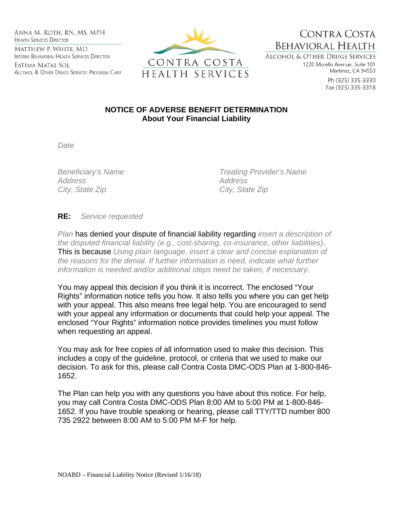ANNA M. ROTH, RN, MS, MPH **HEALTH SERVICES DIRECTOR** MATTHEW P. WHITE, MD INTERIM BEHAVIORAL HEALTH SERVICES DIRECTOR

Fatima Matal Sol ALCOHOL & OTHER DRUGS SERVICES PROGRAM CHIEF



CONTRA COSTA **BEHAVIORAL HEALTH** 

**ALCOHOL & OTHER DRUGS SERVICES** 1220 Morello Avenue, Suite 101 Martinez, CA 94553

> Ph (925) 335-3330 Fax (925) 335-3318

## **NOTICE OF ADVERSE BENEFIT DETERMINATION About Your Financial Liability**

*Date* 

*Address Address City, State Zip City, State Zip* 

*Beneficiary's Name Treating Provider's Name* 

**RE:** *Service requested*

*Plan* has denied your dispute of financial liability regarding *insert a description of the disputed financial liability (e.g., cost-sharing, co-insurance, other liabilities)*. This is because *Using plain language, insert a clear and concise explanation of the reasons for the denial. If further information is need, indicate what further information is needed and/or additional steps need be taken, if necessary*.

You may appeal this decision if you think it is incorrect. The enclosed "Your Rights" information notice tells you how. It also tells you where you can get help with your appeal. This also means free legal help. You are encouraged to send with your appeal any information or documents that could help your appeal. The enclosed "Your Rights" information notice provides timelines you must follow when requesting an appeal.

You may ask for free copies of all information used to make this decision. This includes a copy of the guideline, protocol, or criteria that we used to make our decision. To ask for this, please call Contra Costa DMC-ODS Plan at 1-800-846- 1652.

The Plan can help you with any questions you have about this notice. For help, you may call Contra Costa DMC-ODS Plan 8:00 AM to 5:00 PM at 1-800-846- 1652. If you have trouble speaking or hearing, please call TTY/TTD number 800 735 2922 between 8:00 AM to 5:00 PM M-F for help.